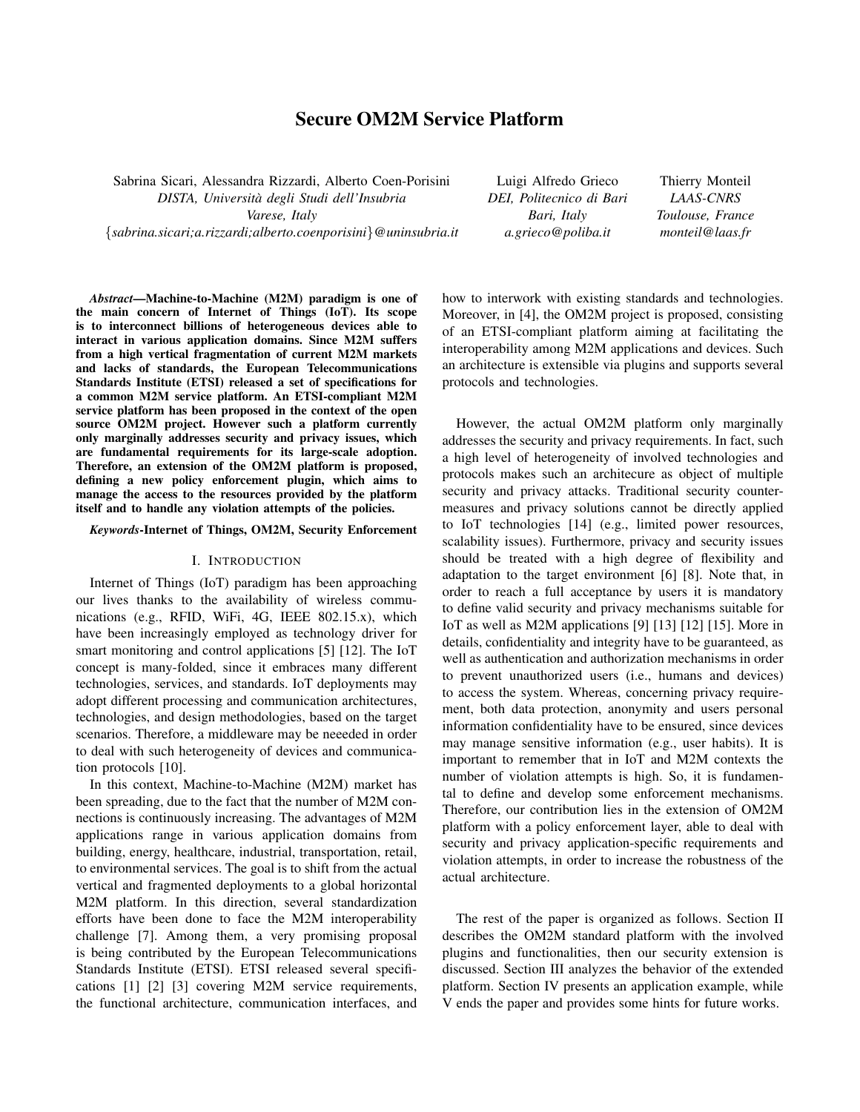# Secure OM2M Service Platform

Sabrina Sicari, Alessandra Rizzardi, Alberto Coen-Porisini *DISTA, Universita degli Studi dell'Insubria ` Varese, Italy* {*sabrina.sicari;a.rizzardi;alberto.coenporisini*}*@uninsubria.it*

Luigi Alfredo Grieco *DEI, Politecnico di Bari Bari, Italy a.grieco@poliba.it*

Thierry Monteil *LAAS-CNRS Toulouse, France monteil@laas.fr*

*Abstract*—Machine-to-Machine (M2M) paradigm is one of the main concern of Internet of Things (IoT). Its scope is to interconnect billions of heterogeneous devices able to interact in various application domains. Since M2M suffers from a high vertical fragmentation of current M2M markets and lacks of standards, the European Telecommunications Standards Institute (ETSI) released a set of specifications for a common M2M service platform. An ETSI-compliant M2M service platform has been proposed in the context of the open source OM2M project. However such a platform currently only marginally addresses security and privacy issues, which are fundamental requirements for its large-scale adoption. Therefore, an extension of the OM2M platform is proposed, defining a new policy enforcement plugin, which aims to manage the access to the resources provided by the platform itself and to handle any violation attempts of the policies.

*Keywords*-Internet of Things, OM2M, Security Enforcement

## I. INTRODUCTION

Internet of Things (IoT) paradigm has been approaching our lives thanks to the availability of wireless communications (e.g., RFID, WiFi, 4G, IEEE 802.15.x), which have been increasingly employed as technology driver for smart monitoring and control applications [5] [12]. The IoT concept is many-folded, since it embraces many different technologies, services, and standards. IoT deployments may adopt different processing and communication architectures, technologies, and design methodologies, based on the target scenarios. Therefore, a middleware may be neeeded in order to deal with such heterogeneity of devices and communication protocols [10].

In this context, Machine-to-Machine (M2M) market has been spreading, due to the fact that the number of M2M connections is continuously increasing. The advantages of M2M applications range in various application domains from building, energy, healthcare, industrial, transportation, retail, to environmental services. The goal is to shift from the actual vertical and fragmented deployments to a global horizontal M2M platform. In this direction, several standardization efforts have been done to face the M2M interoperability challenge [7]. Among them, a very promising proposal is being contributed by the European Telecommunications Standards Institute (ETSI). ETSI released several specifications [1] [2] [3] covering M2M service requirements, the functional architecture, communication interfaces, and how to interwork with existing standards and technologies. Moreover, in [4], the OM2M project is proposed, consisting of an ETSI-compliant platform aiming at facilitating the interoperability among M2M applications and devices. Such an architecture is extensible via plugins and supports several protocols and technologies.

However, the actual OM2M platform only marginally addresses the security and privacy requirements. In fact, such a high level of heterogeneity of involved technologies and protocols makes such an architecure as object of multiple security and privacy attacks. Traditional security countermeasures and privacy solutions cannot be directly applied to IoT technologies [14] (e.g., limited power resources, scalability issues). Furthermore, privacy and security issues should be treated with a high degree of flexibility and adaptation to the target environment [6] [8]. Note that, in order to reach a full acceptance by users it is mandatory to define valid security and privacy mechanisms suitable for IoT as well as M2M applications [9] [13] [12] [15]. More in details, confidentiality and integrity have to be guaranteed, as well as authentication and authorization mechanisms in order to prevent unauthorized users (i.e., humans and devices) to access the system. Whereas, concerning privacy requirement, both data protection, anonymity and users personal information confidentiality have to be ensured, since devices may manage sensitive information (e.g., user habits). It is important to remember that in IoT and M2M contexts the number of violation attempts is high. So, it is fundamental to define and develop some enforcement mechanisms. Therefore, our contribution lies in the extension of OM2M platform with a policy enforcement layer, able to deal with security and privacy application-specific requirements and violation attempts, in order to increase the robustness of the actual architecture.

The rest of the paper is organized as follows. Section II describes the OM2M standard platform with the involved plugins and functionalities, then our security extension is discussed. Section III analyzes the behavior of the extended platform. Section IV presents an application example, while V ends the paper and provides some hints for future works.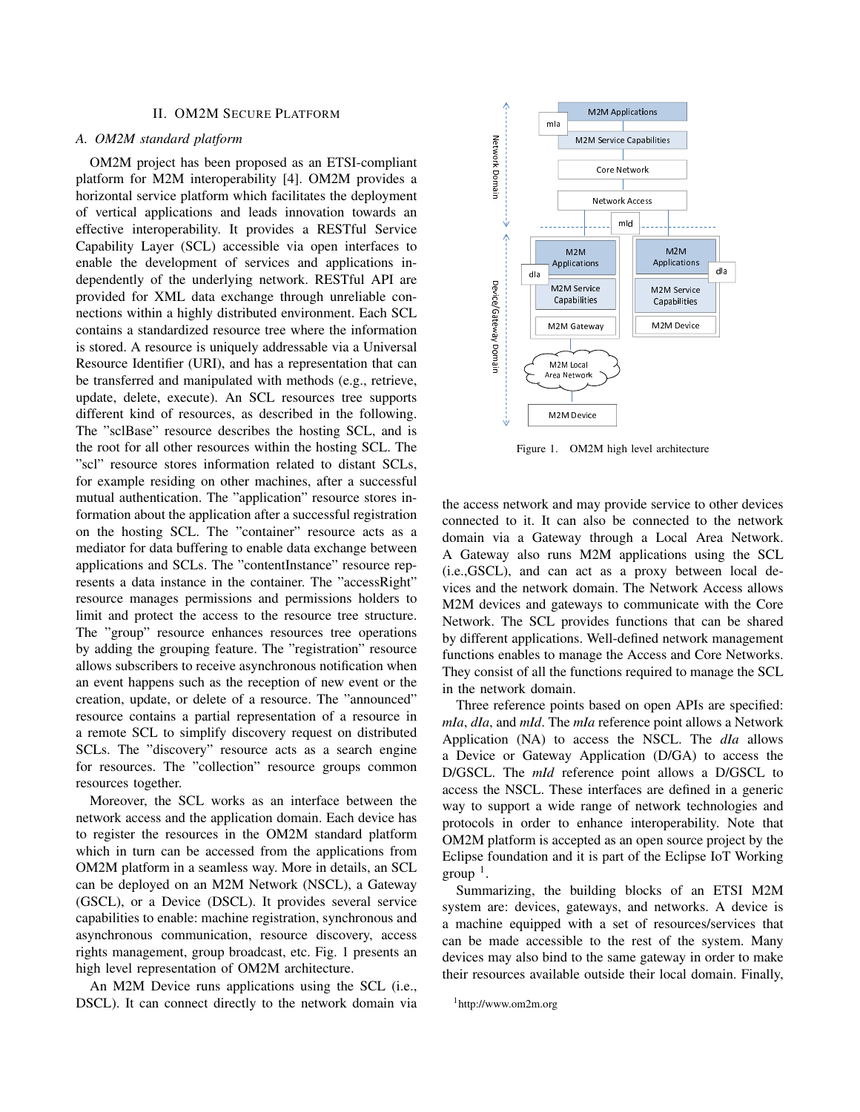# II. OM2M SECURE PLATFORM

# *A. OM2M standard platform*

OM2M project has been proposed as an ETSI-compliant platform for M2M interoperability [4]. OM2M provides a horizontal service platform which facilitates the deployment of vertical applications and leads innovation towards an effective interoperability. It provides a RESTful Service Capability Layer (SCL) accessible via open interfaces to enable the development of services and applications independently of the underlying network. RESTful API are provided for XML data exchange through unreliable connections within a highly distributed environment. Each SCL contains a standardized resource tree where the information is stored. A resource is uniquely addressable via a Universal Resource Identifier (URI), and has a representation that can be transferred and manipulated with methods (e.g., retrieve, update, delete, execute). An SCL resources tree supports different kind of resources, as described in the following. The "sclBase" resource describes the hosting SCL, and is the root for all other resources within the hosting SCL. The "scl" resource stores information related to distant SCLs, for example residing on other machines, after a successful mutual authentication. The "application" resource stores information about the application after a successful registration on the hosting SCL. The "container" resource acts as a mediator for data buffering to enable data exchange between applications and SCLs. The "contentInstance" resource represents a data instance in the container. The "accessRight" resource manages permissions and permissions holders to limit and protect the access to the resource tree structure. The "group" resource enhances resources tree operations by adding the grouping feature. The "registration" resource allows subscribers to receive asynchronous notification when an event happens such as the reception of new event or the creation, update, or delete of a resource. The "announced" resource contains a partial representation of a resource in a remote SCL to simplify discovery request on distributed SCLs. The "discovery" resource acts as a search engine for resources. The "collection" resource groups common resources together.

Moreover, the SCL works as an interface between the network access and the application domain. Each device has to register the resources in the OM2M standard platform which in turn can be accessed from the applications from OM2M platform in a seamless way. More in details, an SCL can be deployed on an M2M Network (NSCL), a Gateway (GSCL), or a Device (DSCL). It provides several service capabilities to enable: machine registration, synchronous and asynchronous communication, resource discovery, access rights management, group broadcast, etc. Fig. 1 presents an high level representation of OM2M architecture.

An M2M Device runs applications using the SCL (i.e., DSCL). It can connect directly to the network domain via



Figure 1. OM2M high level architecture

the access network and may provide service to other devices connected to it. It can also be connected to the network domain via a Gateway through a Local Area Network. A Gateway also runs M2M applications using the SCL (i.e.,GSCL), and can act as a proxy between local devices and the network domain. The Network Access allows M2M devices and gateways to communicate with the Core Network. The SCL provides functions that can be shared by different applications. Well-defined network management functions enables to manage the Access and Core Networks. They consist of all the functions required to manage the SCL in the network domain.

Three reference points based on open APIs are specified: *mIa*, *dIa*, and *mId*. The *mIa* reference point allows a Network Application (NA) to access the NSCL. The *dIa* allows a Device or Gateway Application (D/GA) to access the D/GSCL. The *mId* reference point allows a D/GSCL to access the NSCL. These interfaces are defined in a generic way to support a wide range of network technologies and protocols in order to enhance interoperability. Note that OM2M platform is accepted as an open source project by the Eclipse foundation and it is part of the Eclipse IoT Working  $group<sup>1</sup>$ .

Summarizing, the building blocks of an ETSI M2M system are: devices, gateways, and networks. A device is a machine equipped with a set of resources/services that can be made accessible to the rest of the system. Many devices may also bind to the same gateway in order to make their resources available outside their local domain. Finally,

<sup>1</sup>http://www.om2m.org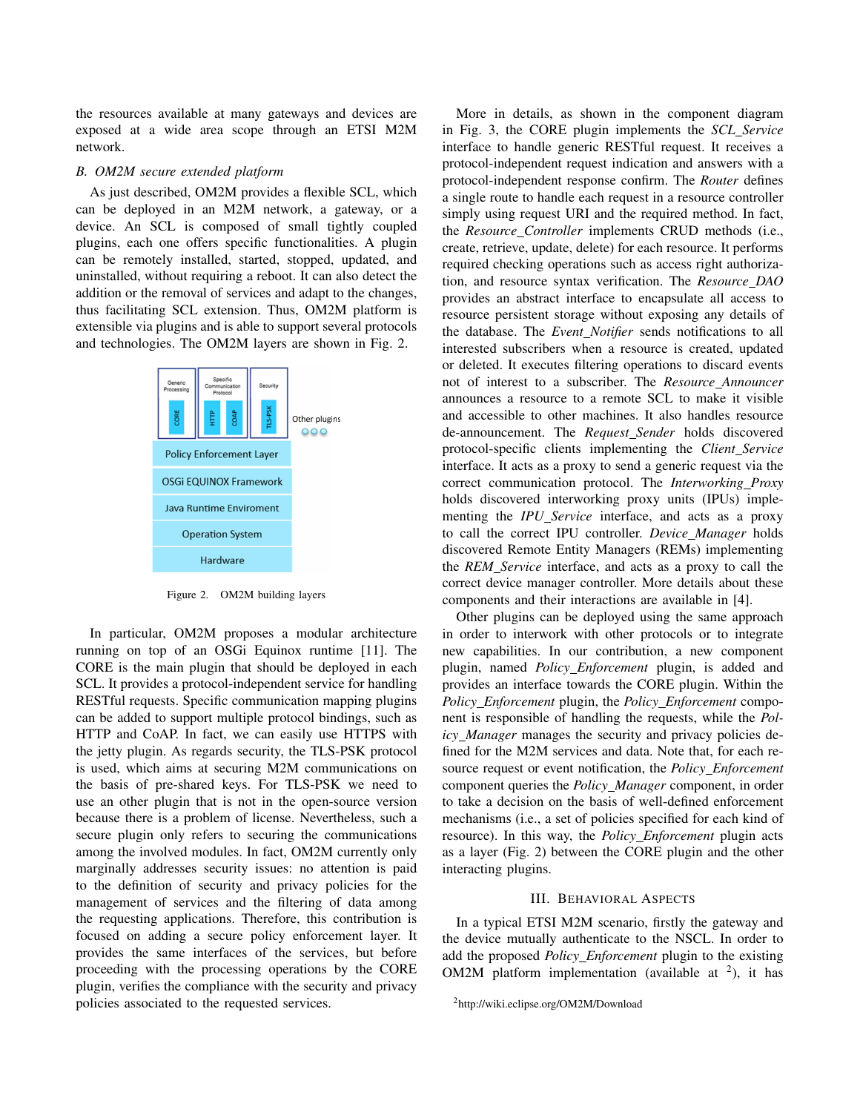the resources available at many gateways and devices are exposed at a wide area scope through an ETSI M2M network.

## *B. OM2M secure extended platform*

As just described, OM2M provides a flexible SCL, which can be deployed in an M2M network, a gateway, or a device. An SCL is composed of small tightly coupled plugins, each one offers specific functionalities. A plugin can be remotely installed, started, stopped, updated, and uninstalled, without requiring a reboot. It can also detect the addition or the removal of services and adapt to the changes, thus facilitating SCL extension. Thus, OM2M platform is extensible via plugins and is able to support several protocols and technologies. The OM2M layers are shown in Fig. 2.



Figure 2. OM2M building layers

 In particular, OM2M proposes a modular architecture running on top of an OSGi Equinox runtime [11]. The SCL. It provides a protocol-independent service for handling can be added to support multiple protocol bindings, such as HTTP and CoAP. In fact, we can easily use HTTPS with is used, which aims at securing M2M communications on use an other plugin that is not in the open-source version secure plugin only refers to securing the communications among the involved modules. In fact, OM2M currently only to the definition of security and privacy policies for the the requesting applications. Therefore, this contribution is focused on adding a secure policy enforcement layer. It proceeding with the processing operations by the CORE policies associated to the requested services. CORE is the main plugin that should be deployed in each RESTful requests. Specific communication mapping plugins the jetty plugin. As regards security, the TLS-PSK protocol the basis of pre-shared keys. For TLS-PSK we need to because there is a problem of license. Nevertheless, such a marginally addresses security issues: no attention is paid management of services and the filtering of data among provides the same interfaces of the services, but before plugin, verifies the compliance with the security and privacy

More in details, as shown in the component diagram in Fig. 3, the CORE plugin implements the *SCL Service* interface to handle generic RESTful request. It receives a protocol-independent request indication and answers with a protocol-independent response confirm. The *Router* defines a single route to handle each request in a resource controller simply using request URI and the required method. In fact, the *Resource Controller* implements CRUD methods (i.e., create, retrieve, update, delete) for each resource. It performs required checking operations such as access right authorization, and resource syntax verification. The *Resource DAO* provides an abstract interface to encapsulate all access to resource persistent storage without exposing any details of the database. The *Event Notifier* sends notifications to all interested subscribers when a resource is created, updated or deleted. It executes filtering operations to discard events not of interest to a subscriber. The *Resource Announcer* announces a resource to a remote SCL to make it visible and accessible to other machines. It also handles resource de-announcement. The *Request Sender* holds discovered protocol-specific clients implementing the *Client Service* interface. It acts as a proxy to send a generic request via the correct communication protocol. The *Interworking Proxy* holds discovered interworking proxy units (IPUs) implementing the *IPU\_Service* interface, and acts as a proxy to call the correct IPU controller. *Device Manager* holds discovered Remote Entity Managers (REMs) implementing the *REM Service* interface, and acts as a proxy to call the correct device manager controller. More details about these components and their interactions are available in [4].

Other plugins can be deployed using the same approach in order to interwork with other protocols or to integrate new capabilities. In our contribution, a new component plugin, named *Policy Enforcement* plugin, is added and provides an interface towards the CORE plugin. Within the *Policy Enforcement* plugin, the *Policy Enforcement* component is responsible of handling the requests, while the *Policy Manager* manages the security and privacy policies defined for the M2M services and data. Note that, for each resource request or event notification, the *Policy Enforcement* component queries the *Policy Manager* component, in order to take a decision on the basis of well-defined enforcement mechanisms (i.e., a set of policies specified for each kind of resource). In this way, the *Policy Enforcement* plugin acts as a layer (Fig. 2) between the CORE plugin and the other interacting plugins.

### III. BEHAVIORAL ASPECTS

In a typical ETSI M2M scenario, firstly the gateway and the device mutually authenticate to the NSCL. In order to add the proposed *Policy Enforcement* plugin to the existing OM2M platform implementation (available at  $2$ ), it has

<sup>2</sup>http://wiki.eclipse.org/OM2M/Download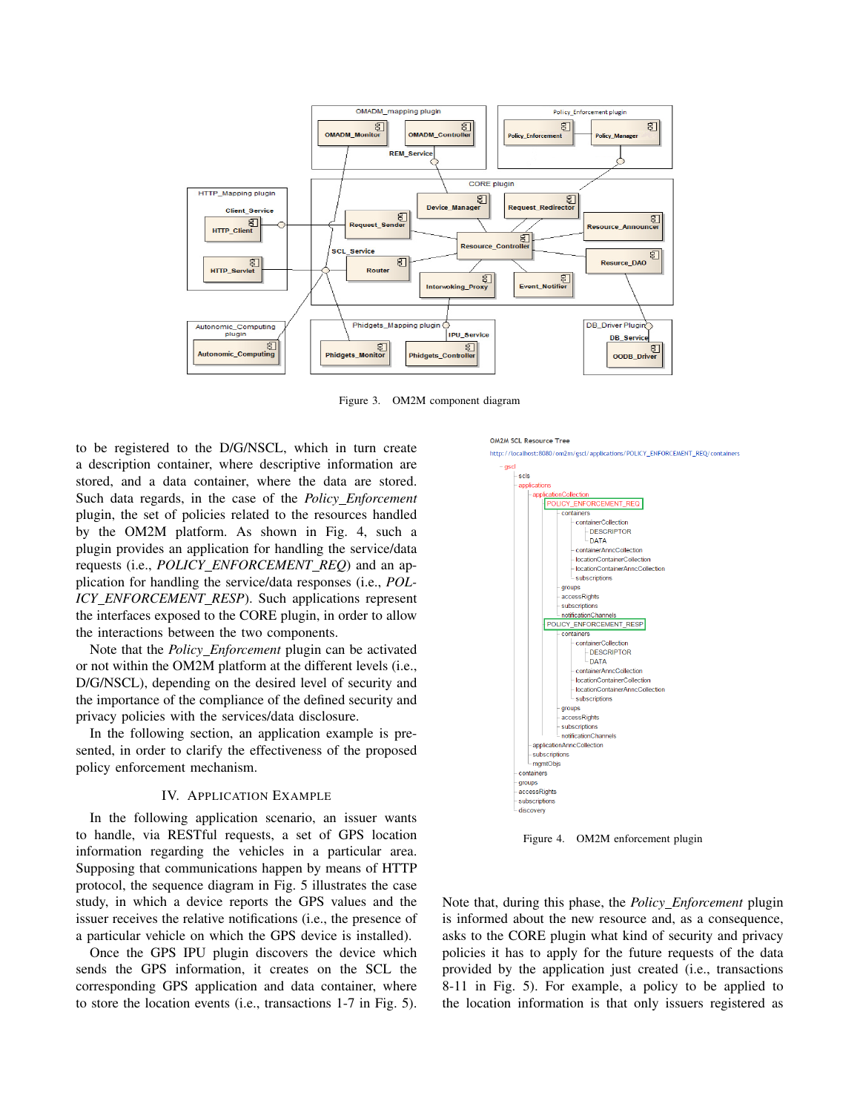

Figure 3. OM2M component diagram

OM2M SCL Resource Tree

scls

to be registered to the D/G/NSCL, which in turn create a description container, where descriptive information are stored, and a data container, where the data are stored. Such data regards, in the case of the *Policy Enforcement* plugin, the set of policies related to the resources handled by the OM2M platform. As shown in Fig. 4, such a plugin provides an application for handling the service/data requests (i.e., *POLICY ENFORCEMENT REQ*) and an application for handling the service/data responses (i.e., *POL-ICY ENFORCEMENT RESP*). Such applications represent the interfaces exposed to the CORE plugin, in order to allow the interactions between the two components.

Note that the *Policy Enforcement* plugin can be activated or not within the OM2M platform at the different levels (i.e., D/G/NSCL), depending on the desired level of security and the importance of the compliance of the defined security and privacy policies with the services/data disclosure.

In the following section, an application example is presented, in order to clarify the effectiveness of the proposed policy enforcement mechanism.

## IV. APPLICATION EXAMPLE

In the following application scenario, an issuer wants to handle, via RESTful requests, a set of GPS location information regarding the vehicles in a particular area. Supposing that communications happen by means of HTTP protocol, the sequence diagram in Fig. 5 illustrates the case study, in which a device reports the GPS values and the issuer receives the relative notifications (i.e., the presence of a particular vehicle on which the GPS device is installed).

Once the GPS IPU plugin discovers the device which sends the GPS information, it creates on the SCL the corresponding GPS application and data container, where to store the location events (i.e., transactions 1-7 in Fig. 5).



http://localhost:8080/om2m/gscl/applications/POLICY\_ENFORCEMENT\_REQ/containers



subscriptions groups accessRights subscriptions notificationChannels

Figure 4. OM2M enforcement plugin

Note that, during this phase, the *Policy Enforcement* plugin is informed about the new resource and, as a consequence, asks to the CORE plugin what kind of security and privacy policies it has to apply for the future requests of the data provided by the application just created (i.e., transactions 8-11 in Fig. 5). For example, a policy to be applied to the location information is that only issuers registered as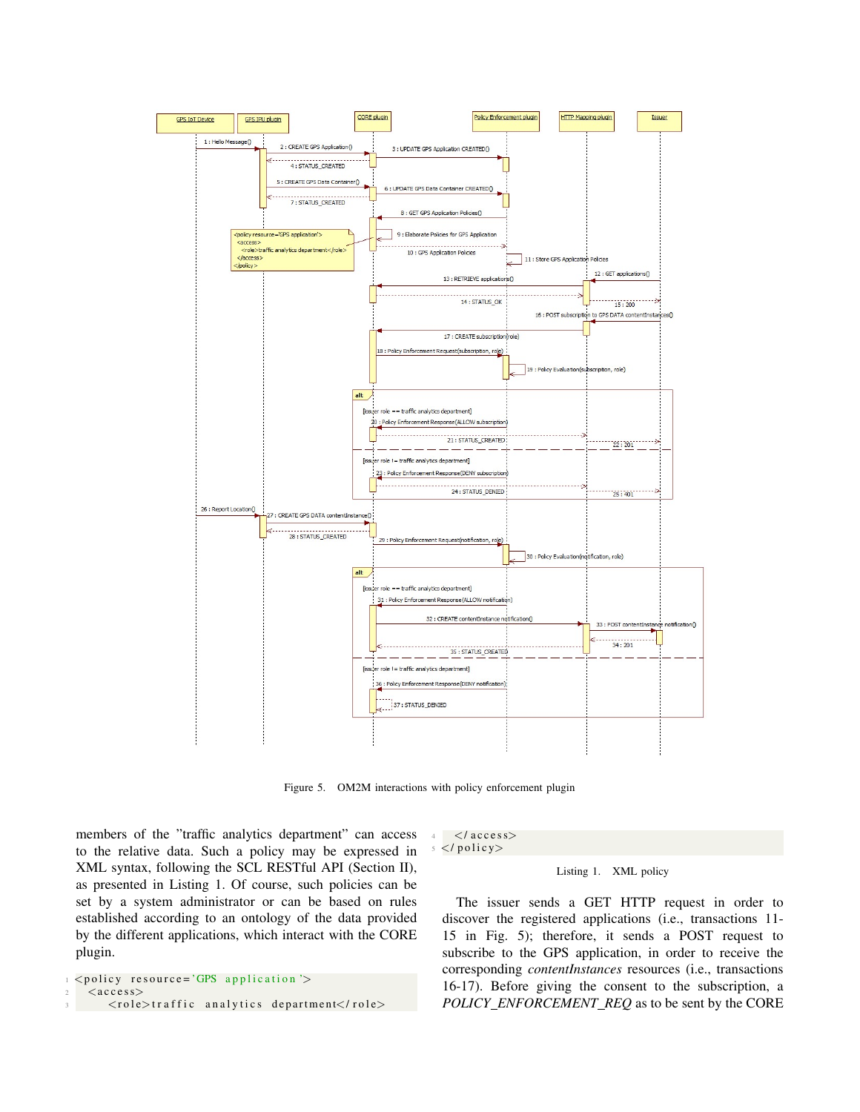

Figure 5. OM2M interactions with policy enforcement plugin

members of the "traffic analytics department" can access to the relative data. Such a policy may be expressed in XML syntax, following the SCL RESTful API (Section II), as presented in Listing 1. Of course, such policies can be set by a system administrator or can be based on rules established according to an ontology of the data provided by the different applications, which interact with the CORE plugin.

```
\langle policy resource='GPS application'>
\langle access>
   \langlerole>traffic analytics department</role>
```
 $4 \leq / \arccos s$  $\langle$ / policy>

## Listing 1. XML policy

The issuer sends a GET HTTP request in order to discover the registered applications (i.e., transactions 11- 15 in Fig. 5); therefore, it sends a POST request to subscribe to the GPS application, in order to receive the corresponding *contentInstances* resources (i.e., transactions 16-17). Before giving the consent to the subscription, a *POLICY ENFORCEMENT REQ* as to be sent by the CORE